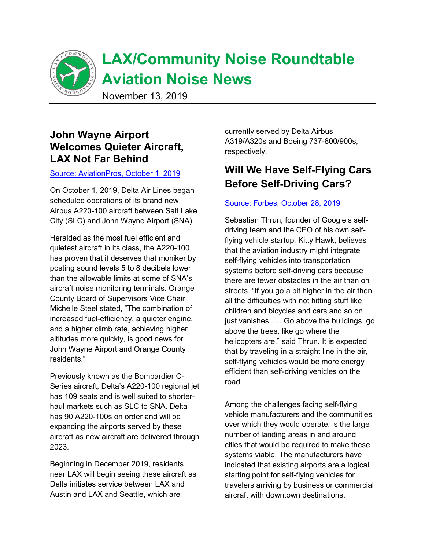

# **LAX/Community Noise Roundtable Aviation Noise News**

November 13, 2019

## **John Wayne Airport Welcomes Quieter Aircraft, LAX Not Far Behind**

#### Source: AviationPros, October 1, 2019

On October 1, 2019, Delta Air Lines began scheduled operations of its brand new Airbus A220-100 aircraft between Salt Lake City (SLC) and John Wayne Airport (SNA).

Heralded as the most fuel efficient and quietest aircraft in its class, the A220-100 has proven that it deserves that moniker by posting sound levels 5 to 8 decibels lower than the allowable limits at some of SNA's aircraft noise monitoring terminals. Orange County Board of Supervisors Vice Chair Michelle Steel stated, "The combination of increased fuel-efficiency, a quieter engine, and a higher climb rate, achieving higher altitudes more quickly, is good news for John Wayne Airport and Orange County residents."

Previously known as the Bombardier C-Series aircraft, Delta's A220-100 regional jet has 109 seats and is well suited to shorterhaul markets such as SLC to SNA. Delta. has 90 A220-100s on order and will be expanding the airports served by these aircraft as new aircraft are delivered through 2023.

Beginning in December 2019, residents near LAX will begin seeing these aircraft as Delta initiates service between LAX and Austin and LAX and Seattle, which are

currently served by Delta Airbus A319/A320s and Boeing 737-800/900s, respectively.

## **Will We Have Self-Flying Cars Before Self-Driving Cars?**

#### Source: Forbes, October 28, 2019

Sebastian Thrun, founder of Google's selfdriving team and the CEO of his own selfflying vehicle startup, Kitty Hawk, believes that the aviation industry might integrate self-flying vehicles into transportation systems before self-driving cars because there are fewer obstacles in the air than on streets. "If you go a bit higher in the air then all the difficulties with not hitting stuff like children and bicycles and cars and so on just vanishes . . . Go above the buildings, go above the trees, like go where the helicopters are," said Thrun. It is expected that by traveling in a straight line in the air, self-flying vehicles would be more energy efficient than self-driving vehicles on the road.

Among the challenges facing self-flying vehicle manufacturers and the communities over which they would operate, is the large number of landing areas in and around cities that would be required to make these systems viable. The manufacturers have indicated that existing airports are a logical starting point for self-flying vehicles for travelers arriving by business or commercial aircraft with downtown destinations.